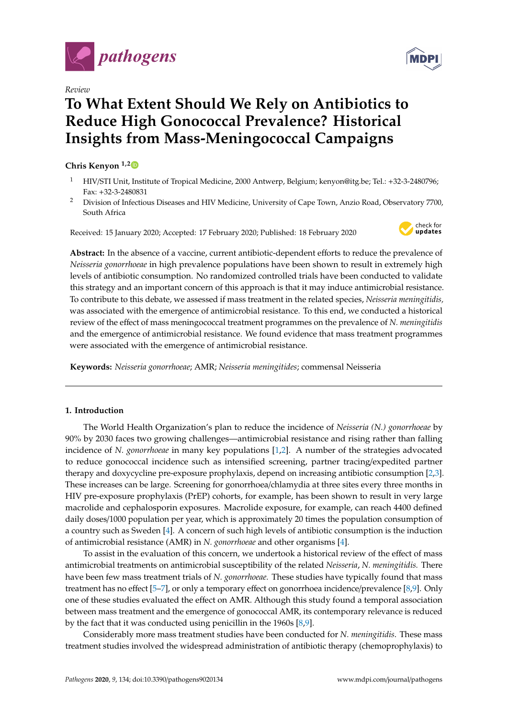

*Review*

# **To What Extent Should We Rely on Antibiotics to Reduce High Gonococcal Prevalence? Historical Insights from Mass-Meningococcal Campaigns**

# **Chris Kenyon 1,[2](https://orcid.org/0000-0002-2557-8998)**

- <sup>1</sup> HIV/STI Unit, Institute of Tropical Medicine, 2000 Antwerp, Belgium; kenyon@itg.be; Tel.: +32-3-2480796; Fax: +32-3-2480831
- <sup>2</sup> Division of Infectious Diseases and HIV Medicine, University of Cape Town, Anzio Road, Observatory 7700, South Africa

Received: 15 January 2020; Accepted: 17 February 2020; Published: 18 February 2020



**Abstract:** In the absence of a vaccine, current antibiotic-dependent efforts to reduce the prevalence of *Neisseria gonorrhoeae* in high prevalence populations have been shown to result in extremely high levels of antibiotic consumption. No randomized controlled trials have been conducted to validate this strategy and an important concern of this approach is that it may induce antimicrobial resistance. To contribute to this debate, we assessed if mass treatment in the related species, *Neisseria meningitidis,* was associated with the emergence of antimicrobial resistance. To this end, we conducted a historical review of the effect of mass meningococcal treatment programmes on the prevalence of *N. meningitidis* and the emergence of antimicrobial resistance. We found evidence that mass treatment programmes were associated with the emergence of antimicrobial resistance.

**Keywords:** *Neisseria gonorrhoeae*; AMR; *Neisseria meningitides*; commensal Neisseria

# **1. Introduction**

The World Health Organization's plan to reduce the incidence of *Neisseria (N.) gonorrhoeae* by 90% by 2030 faces two growing challenges—antimicrobial resistance and rising rather than falling incidence of *N. gonorrhoeae* in many key populations [\[1](#page-4-0)[,2\]](#page-4-1). A number of the strategies advocated to reduce gonococcal incidence such as intensified screening, partner tracing/expedited partner therapy and doxycycline pre-exposure prophylaxis, depend on increasing antibiotic consumption [\[2](#page-4-1)[,3\]](#page-4-2). These increases can be large. Screening for gonorrhoea/chlamydia at three sites every three months in HIV pre-exposure prophylaxis (PrEP) cohorts, for example, has been shown to result in very large macrolide and cephalosporin exposures. Macrolide exposure, for example, can reach 4400 defined daily doses/1000 population per year, which is approximately 20 times the population consumption of a country such as Sweden [\[4\]](#page-4-3). A concern of such high levels of antibiotic consumption is the induction of antimicrobial resistance (AMR) in *N. gonorrhoeae* and other organisms [\[4\]](#page-4-3).

To assist in the evaluation of this concern, we undertook a historical review of the effect of mass antimicrobial treatments on antimicrobial susceptibility of the related *Neisseria*, *N. meningitidis.* There have been few mass treatment trials of *N. gonorrhoeae.* These studies have typically found that mass treatment has no effect [\[5–](#page-4-4)[7\]](#page-4-5), or only a temporary effect on gonorrhoea incidence/prevalence [\[8](#page-4-6)[,9\]](#page-4-7). Only one of these studies evaluated the effect on AMR. Although this study found a temporal association between mass treatment and the emergence of gonococcal AMR, its contemporary relevance is reduced by the fact that it was conducted using penicillin in the 1960s [\[8,](#page-4-6)[9\]](#page-4-7).

Considerably more mass treatment studies have been conducted for *N. meningitidis*. These mass treatment studies involved the widespread administration of antibiotic therapy (chemoprophylaxis) to

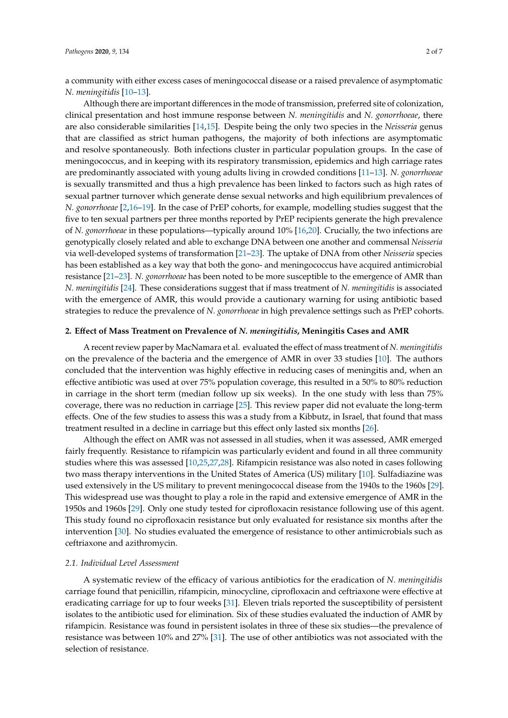a community with either excess cases of meningococcal disease or a raised prevalence of asymptomatic *N. meningitidis* [\[10–](#page-4-8)[13\]](#page-4-9).

Although there are important differences in the mode of transmission, preferred site of colonization, clinical presentation and host immune response between *N. meningitidis* and *N. gonorrhoeae*, there are also considerable similarities [\[14,](#page-4-10)[15\]](#page-4-11). Despite being the only two species in the *Neisseria* genus that are classified as strict human pathogens, the majority of both infections are asymptomatic and resolve spontaneously. Both infections cluster in particular population groups. In the case of meningococcus, and in keeping with its respiratory transmission, epidemics and high carriage rates are predominantly associated with young adults living in crowded conditions [\[11–](#page-4-12)[13\]](#page-4-9). *N. gonorrhoeae* is sexually transmitted and thus a high prevalence has been linked to factors such as high rates of sexual partner turnover which generate dense sexual networks and high equilibrium prevalences of *N. gonorrhoeae* [\[2,](#page-4-1)[16–](#page-4-13)[19\]](#page-5-0). In the case of PrEP cohorts, for example, modelling studies suggest that the five to ten sexual partners per three months reported by PrEP recipients generate the high prevalence of *N. gonorrhoeae* in these populations—typically around 10% [\[16](#page-4-13)[,20\]](#page-5-1). Crucially, the two infections are genotypically closely related and able to exchange DNA between one another and commensal *Neisseria* via well-developed systems of transformation [\[21](#page-5-2)[–23\]](#page-5-3). The uptake of DNA from other *Neisseria* species has been established as a key way that both the gono- and meningococcus have acquired antimicrobial resistance [\[21](#page-5-2)[–23\]](#page-5-3). *N. gonorrhoeae* has been noted to be more susceptible to the emergence of AMR than *N. meningitidis* [\[24\]](#page-5-4). These considerations suggest that if mass treatment of *N. meningitidis* is associated with the emergence of AMR, this would provide a cautionary warning for using antibiotic based strategies to reduce the prevalence of *N. gonorrhoeae* in high prevalence settings such as PrEP cohorts.

## **2. E**ff**ect of Mass Treatment on Prevalence of** *N. meningitidis***, Meningitis Cases and AMR**

A recent review paper by MacNamara et al. evaluated the effect of mass treatment of *N. meningitidis* on the prevalence of the bacteria and the emergence of AMR in over 33 studies [\[10\]](#page-4-8). The authors concluded that the intervention was highly effective in reducing cases of meningitis and, when an effective antibiotic was used at over 75% population coverage, this resulted in a 50% to 80% reduction in carriage in the short term (median follow up six weeks). In the one study with less than 75% coverage, there was no reduction in carriage [\[25\]](#page-5-5). This review paper did not evaluate the long-term effects. One of the few studies to assess this was a study from a Kibbutz, in Israel, that found that mass treatment resulted in a decline in carriage but this effect only lasted six months [\[26\]](#page-5-6).

Although the effect on AMR was not assessed in all studies, when it was assessed, AMR emerged fairly frequently. Resistance to rifampicin was particularly evident and found in all three community studies where this was assessed [\[10](#page-4-8)[,25](#page-5-5)[,27](#page-5-7)[,28\]](#page-5-8). Rifampicin resistance was also noted in cases following two mass therapy interventions in the United States of America (US) military [\[10\]](#page-4-8). Sulfadiazine was used extensively in the US military to prevent meningococcal disease from the 1940s to the 1960s [\[29\]](#page-5-9). This widespread use was thought to play a role in the rapid and extensive emergence of AMR in the 1950s and 1960s [\[29\]](#page-5-9). Only one study tested for ciprofloxacin resistance following use of this agent. This study found no ciprofloxacin resistance but only evaluated for resistance six months after the intervention [\[30\]](#page-5-10). No studies evaluated the emergence of resistance to other antimicrobials such as ceftriaxone and azithromycin.

#### *2.1. Individual Level Assessment*

A systematic review of the efficacy of various antibiotics for the eradication of *N. meningitidis* carriage found that penicillin, rifampicin, minocycline, ciprofloxacin and ceftriaxone were effective at eradicating carriage for up to four weeks [\[31\]](#page-5-11). Eleven trials reported the susceptibility of persistent isolates to the antibiotic used for elimination. Six of these studies evaluated the induction of AMR by rifampicin. Resistance was found in persistent isolates in three of these six studies—the prevalence of resistance was between 10% and 27% [\[31\]](#page-5-11). The use of other antibiotics was not associated with the selection of resistance.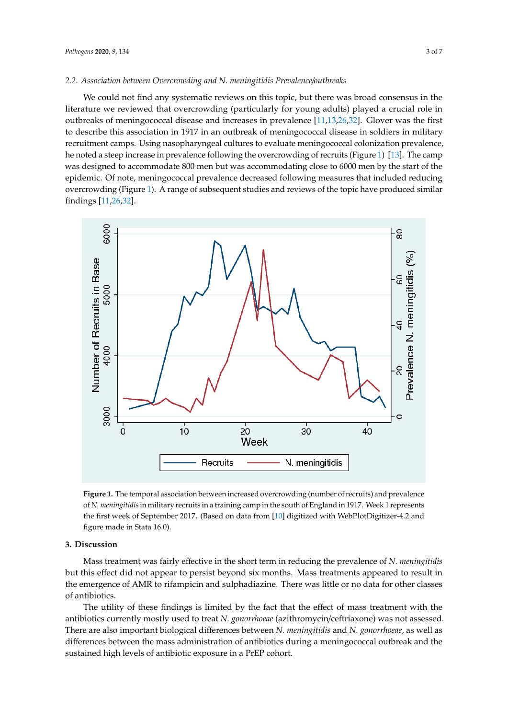#### *2.2. Association between Overcrowding and N. meningitidis Prevalence*/*outbreaks 2.2. Association between Overcrowding and N. meningitidis Prevalence/outbreaks*

We could not find any systematic reviews on this topic, but there was broad consensus in the literature we reviewed that overcrowding (particularly for young adults) played a crucial role in outbreaks of meningococcal disease and increases in prevalence [\[11](#page-4-12)[,13](#page-4-9)[,26](#page-5-6)[,32\]](#page-5-12). Glover was the first to describe this association in 1917 in an outbreak of meningococcal disease in soldiers in military recruitment camps. Using nasopharyngeal cultures to evaluate meningococcal colonization prevalence, he noted a steep increase in prevalence following the overcrowding of recruits (Figure [1\)](#page-2-0) [\[13\]](#page-4-9). The camp was designed to accommodate 800 men but was accommodating close to 6000 men by the start of the epidemic. Of note, meningococcal prevalence decreased following measures that included reducing overcrowding (Figure [1\)](#page-2-0). A range of subsequent studies and reviews of the topic have produced similar findings [\[11,](#page-4-12)[26,](#page-5-6)[32\]](#page-5-12).  $\frac{\text{finding } [11.26, 32]}{\text{finding } [11.26, 32]}$ 

<span id="page-2-0"></span>

**Figure 1.** The temporal association between increased overcrowding (number of recruits) and **Figure 1.** The temporal association between increased overcrowding (number of recruits) and prevalence of N. meningitidis in military recruits in a training camp in the south of England in 1917. Week 1 represents the first week of September 2017. (Based on data from [\[10\]](#page-4-8) digitized with WebPlotDigitizer-4.2 and figure made in Stata 16.0).

## **3. Discussion 3. Discussion**

Mass treatment was fairly effective in the short term in reducing the prevalence of *N. meningitidis* Mass treatment was fairly effective in the short term in reducing the prevalence of *N. meningitidis* but this effect did not appear to persist beyond six months. Mass treatments appeared to result in the emergence of AMR to rifampicin and sulphadiazine. There was little or no data for other classes antibiotics. of antibiotics.

The utility of these findings is limited by the fact that the effect of mass treatment with the The utility of these findings is limited by the fact that the effect of mass treatment with the antibiotics currently mostly used to treat *N. gonorrhoeae* (azithromycin/ceftriaxone) was not assessed. antibiotics currently mostly used to treat *N. gonorrhoeae* (azithromycin/ceftriaxone) was not assessed. There are also important biological differences between N. meningitidis and N. gonorrhoeae, as well as differences between the mass administration of antibiotics during a meningococcal outbreak and the sustained high levels of antibiotic exposure in a PrEP cohort.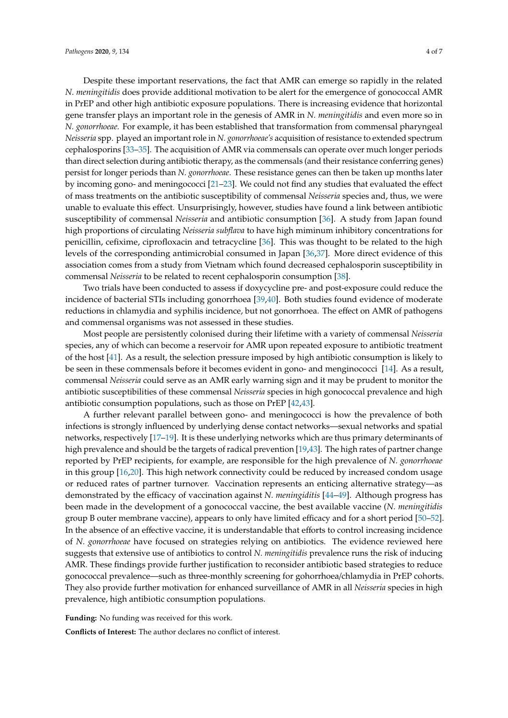Despite these important reservations, the fact that AMR can emerge so rapidly in the related *N. meningitidis* does provide additional motivation to be alert for the emergence of gonococcal AMR in PrEP and other high antibiotic exposure populations. There is increasing evidence that horizontal gene transfer plays an important role in the genesis of AMR in *N. meningitidis* and even more so in *N. gonorrhoeae.* For example, it has been established that transformation from commensal pharyngeal *Neisseria* spp. played an important role in *N. gonorrhoeae's* acquisition of resistance to extended spectrum cephalosporins [\[33](#page-5-13)[–35\]](#page-5-14). The acquisition of AMR via commensals can operate over much longer periods than direct selection during antibiotic therapy, as the commensals (and their resistance conferring genes) persist for longer periods than *N. gonorrhoeae*. These resistance genes can then be taken up months later by incoming gono- and meningococci [\[21–](#page-5-2)[23\]](#page-5-3). We could not find any studies that evaluated the effect of mass treatments on the antibiotic susceptibility of commensal *Neisseria* species and, thus, we were unable to evaluate this effect. Unsurprisingly, however, studies have found a link between antibiotic susceptibility of commensal *Neisseria* and antibiotic consumption [\[36\]](#page-5-15). A study from Japan found high proportions of circulating *Neisseria subflava* to have high miminum inhibitory concentrations for penicillin, cefixime, ciprofloxacin and tetracycline [\[36\]](#page-5-15). This was thought to be related to the high levels of the corresponding antimicrobial consumed in Japan [\[36](#page-5-15)[,37\]](#page-5-16). More direct evidence of this association comes from a study from Vietnam which found decreased cephalosporin susceptibility in commensal *Neisseria* to be related to recent cephalosporin consumption [\[38\]](#page-5-17).

Two trials have been conducted to assess if doxycycline pre- and post-exposure could reduce the incidence of bacterial STIs including gonorrhoea [\[39,](#page-6-0)[40\]](#page-6-1). Both studies found evidence of moderate reductions in chlamydia and syphilis incidence, but not gonorrhoea. The effect on AMR of pathogens and commensal organisms was not assessed in these studies.

Most people are persistently colonised during their lifetime with a variety of commensal *Neisseria* species, any of which can become a reservoir for AMR upon repeated exposure to antibiotic treatment of the host [\[41\]](#page-6-2). As a result, the selection pressure imposed by high antibiotic consumption is likely to be seen in these commensals before it becomes evident in gono- and menginococci [\[14\]](#page-4-10). As a result, commensal *Neisseria* could serve as an AMR early warning sign and it may be prudent to monitor the antibiotic susceptibilities of these commensal *Neisseria* species in high gonococcal prevalence and high antibiotic consumption populations, such as those on PrEP [\[42](#page-6-3)[,43\]](#page-6-4).

A further relevant parallel between gono- and meningococci is how the prevalence of both infections is strongly influenced by underlying dense contact networks—sexual networks and spatial networks, respectively [\[17–](#page-4-14)[19\]](#page-5-0). It is these underlying networks which are thus primary determinants of high prevalence and should be the targets of radical prevention [\[19](#page-5-0)[,43\]](#page-6-4). The high rates of partner change reported by PrEP recipients, for example, are responsible for the high prevalence of *N. gonorrhoeae* in this group [\[16,](#page-4-13)[20\]](#page-5-1). This high network connectivity could be reduced by increased condom usage or reduced rates of partner turnover. Vaccination represents an enticing alternative strategy—as demonstrated by the efficacy of vaccination against *N. meningiditis* [\[44](#page-6-5)[–49\]](#page-6-6). Although progress has been made in the development of a gonococcal vaccine, the best available vaccine (*N. meningitidis* group B outer membrane vaccine), appears to only have limited efficacy and for a short period [\[50–](#page-6-7)[52\]](#page-6-8). In the absence of an effective vaccine, it is understandable that efforts to control increasing incidence of *N. gonorrhoeae* have focused on strategies relying on antibiotics. The evidence reviewed here suggests that extensive use of antibiotics to control *N. meningitidis* prevalence runs the risk of inducing AMR. These findings provide further justification to reconsider antibiotic based strategies to reduce gonococcal prevalence—such as three-monthly screening for gohorrhoea/chlamydia in PrEP cohorts. They also provide further motivation for enhanced surveillance of AMR in all *Neisseria* species in high prevalence, high antibiotic consumption populations.

**Funding:** No funding was received for this work.

**Conflicts of Interest:** The author declares no conflict of interest.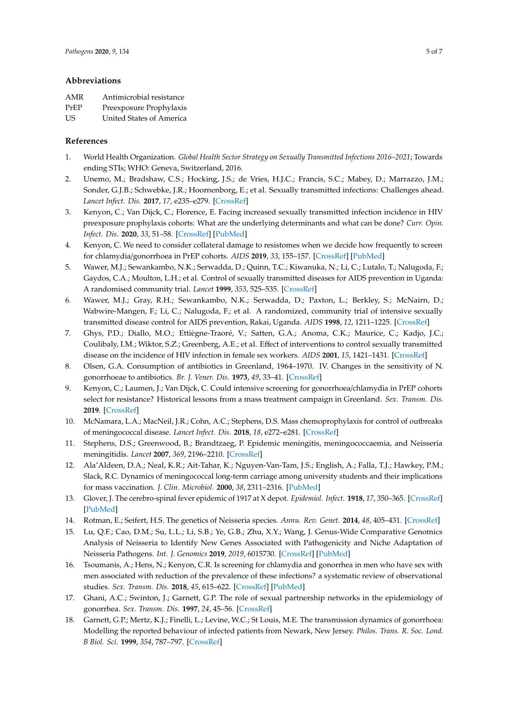## **Abbreviations**

| AMR  | Antimicrobial resistance |
|------|--------------------------|
| PrEP | Preexposure Prophylaxis  |
| US.  | United States of America |

## **References**

- <span id="page-4-0"></span>1. World Health Organization. *Global Health Sector Strategy on Sexually Transmitted Infections 2016–2021*; Towards ending STIs; WHO: Geneva, Switzerland, 2016.
- <span id="page-4-1"></span>2. Unemo, M.; Bradshaw, C.S.; Hocking, J.S.; de Vries, H.J.C.; Francis, S.C.; Mabey, D.; Marrazzo, J.M.; Sonder, G.J.B.; Schwebke, J.R.; Hoornenborg, E.; et al. Sexually transmitted infections: Challenges ahead. *Lancet Infect. Dis.* **2017**, *17*, e235–e279. [\[CrossRef\]](http://dx.doi.org/10.1016/S1473-3099(17)30310-9)
- <span id="page-4-2"></span>3. Kenyon, C.; Van Dijck, C.; Florence, E. Facing increased sexually transmitted infection incidence in HIV preexposure prophylaxis cohorts: What are the underlying determinants and what can be done? *Curr. Opin. Infect. Dis.* **2020**, *33*, 51–58. [\[CrossRef\]](http://dx.doi.org/10.1097/QCO.0000000000000621) [\[PubMed\]](http://www.ncbi.nlm.nih.gov/pubmed/31789694)
- <span id="page-4-3"></span>4. Kenyon, C. We need to consider collateral damage to resistomes when we decide how frequently to screen for chlamydia/gonorrhoea in PrEP cohorts. *AIDS* **2019**, *33*, 155–157. [\[CrossRef\]](http://dx.doi.org/10.1097/QAD.0000000000002020) [\[PubMed\]](http://www.ncbi.nlm.nih.gov/pubmed/30234609)
- <span id="page-4-4"></span>5. Wawer, M.J.; Sewankambo, N.K.; Serwadda, D.; Quinn, T.C.; Kiwanuka, N.; Li, C.; Lutalo, T.; Nalugoda, F.; Gaydos, C.A.; Moulton, L.H.; et al. Control of sexually transmitted diseases for AIDS prevention in Uganda: A randomised community trial. *Lancet* **1999**, *353*, 525–535. [\[CrossRef\]](http://dx.doi.org/10.1016/S0140-6736(98)06439-3)
- 6. Wawer, M.J.; Gray, R.H.; Sewankambo, N.K.; Serwadda, D.; Paxton, L.; Berkley, S.; McNairn, D.; Wabwire-Mangen, F.; Li, C.; Nalugoda, F.; et al. A randomized, community trial of intensive sexually transmitted disease control for AIDS prevention, Rakai, Uganda. *AIDS* **1998**, *12*, 1211–1225. [\[CrossRef\]](http://dx.doi.org/10.1097/00002030-199810000-00014)
- <span id="page-4-5"></span>7. Ghys, P.D.; Diallo, M.O.; Ettiègne-Traoré, V.; Satten, G.A.; Anoma, C.K.; Maurice, C.; Kadjo, J.C.; Coulibaly, I.M.; Wiktor, S.Z.; Greenberg, A.E.; et al. Effect of interventions to control sexually transmitted disease on the incidence of HIV infection in female sex workers. *AIDS* **2001**, *15*, 1421–1431. [\[CrossRef\]](http://dx.doi.org/10.1097/00002030-200107270-00012)
- <span id="page-4-6"></span>8. Olsen, G.A. Consumption of antibiotics in Greenland, 1964–1970. IV. Changes in the sensitivity of N. gonorrhoeae to antibiotics. *Br. J. Vener. Dis.* **1973**, *49*, 33–41. [\[CrossRef\]](http://dx.doi.org/10.1136/sti.49.1.33)
- <span id="page-4-7"></span>9. Kenyon, C.; Laumen, J.; Van Dijck, C. Could intensive screening for gonorrhoea/chlamydia in PrEP cohorts select for resistance? Historical lessons from a mass treatment campaign in Greenland. *Sex. Transm. Dis.* **2019**. [\[CrossRef\]](http://dx.doi.org/10.1097/OLQ.0000000000001092)
- <span id="page-4-8"></span>10. McNamara, L.A.; MacNeil, J.R.; Cohn, A.C.; Stephens, D.S. Mass chemoprophylaxis for control of outbreaks of meningococcal disease. *Lancet Infect. Dis.* **2018**, *18*, e272–e281. [\[CrossRef\]](http://dx.doi.org/10.1016/S1473-3099(18)30124-5)
- <span id="page-4-12"></span>11. Stephens, D.S.; Greenwood, B.; Brandtzaeg, P. Epidemic meningitis, meningococcaemia, and Neisseria meningitidis. *Lancet* **2007**, *369*, 2196–2210. [\[CrossRef\]](http://dx.doi.org/10.1016/S0140-6736(07)61016-2)
- 12. Ala'Aldeen, D.A.; Neal, K.R.; Ait-Tahar, K.; Nguyen-Van-Tam, J.S.; English, A.; Falla, T.J.; Hawkey, P.M.; Slack, R.C. Dynamics of meningococcal long-term carriage among university students and their implications for mass vaccination. *J. Clin. Microbiol.* **2000**, *38*, 2311–2316. [\[PubMed\]](http://www.ncbi.nlm.nih.gov/pubmed/10834994)
- <span id="page-4-9"></span>13. Glover, J. The cerebro-spinal fever epidemic of 1917 at X depot. *Epidemiol. Infect.* **1918**, *17*, 350–365. [\[CrossRef\]](http://dx.doi.org/10.1017/S002217240000718X) [\[PubMed\]](http://www.ncbi.nlm.nih.gov/pubmed/20474675)
- <span id="page-4-10"></span>14. Rotman, E.; Seifert, H.S. The genetics of Neisseria species. *Annu. Rev. Genet.* **2014**, *48*, 405–431. [\[CrossRef\]](http://dx.doi.org/10.1146/annurev-genet-120213-092007)
- <span id="page-4-11"></span>15. Lu, Q.F.; Cao, D.M.; Su, L.L.; Li, S.B.; Ye, G.B.; Zhu, X.Y.; Wang, J. Genus-Wide Comparative Genomics Analysis of Neisseria to Identify New Genes Associated with Pathogenicity and Niche Adaptation of Neisseria Pathogens. *Int. J. Genomics* **2019**, *2019*, 6015730. [\[CrossRef\]](http://dx.doi.org/10.1155/2019/6015730) [\[PubMed\]](http://www.ncbi.nlm.nih.gov/pubmed/30775379)
- <span id="page-4-13"></span>16. Tsoumanis, A.; Hens, N.; Kenyon, C.R. Is screening for chlamydia and gonorrhea in men who have sex with men associated with reduction of the prevalence of these infections? a systematic review of observational studies. *Sex. Transm. Dis.* **2018**, *45*, 615–622. [\[CrossRef\]](http://dx.doi.org/10.1097/OLQ.0000000000000824) [\[PubMed\]](http://www.ncbi.nlm.nih.gov/pubmed/29485537)
- <span id="page-4-14"></span>17. Ghani, A.C.; Swinton, J.; Garnett, G.P. The role of sexual partnership networks in the epidemiology of gonorrhea. *Sex. Transm. Dis.* **1997**, *24*, 45–56. [\[CrossRef\]](http://dx.doi.org/10.1097/00007435-199701000-00009)
- 18. Garnett, G.P.; Mertz, K.J.; Finelli, L.; Levine, W.C.; St Louis, M.E. The transmission dynamics of gonorrhoea: Modelling the reported behaviour of infected patients from Newark, New Jersey. *Philos. Trans. R. Soc. Lond. B Biol. Sci.* **1999**, *354*, 787–797. [\[CrossRef\]](http://dx.doi.org/10.1098/rstb.1999.0431)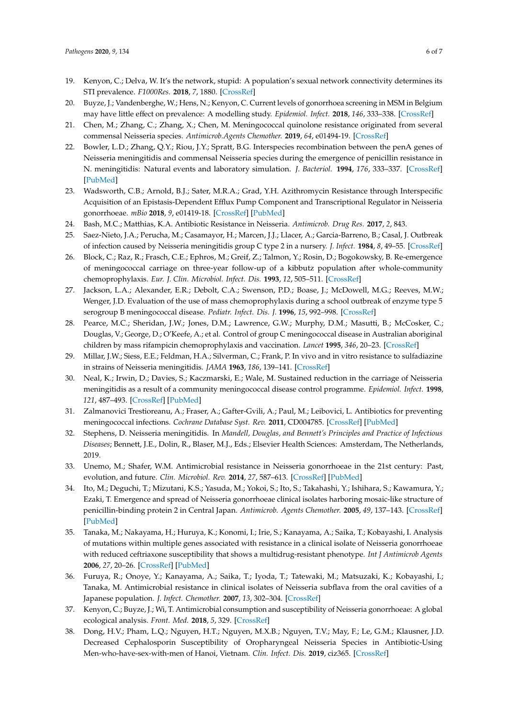- <span id="page-5-0"></span>19. Kenyon, C.; Delva, W. It's the network, stupid: A population's sexual network connectivity determines its STI prevalence. *F1000Res.* **2018**, *7*, 1880. [\[CrossRef\]](http://dx.doi.org/10.12688/f1000research.17148.1)
- <span id="page-5-1"></span>20. Buyze, J.; Vandenberghe, W.; Hens, N.; Kenyon, C. Current levels of gonorrhoea screening in MSM in Belgium may have little effect on prevalence: A modelling study. *Epidemiol. Infect.* **2018**, *146*, 333–338. [\[CrossRef\]](http://dx.doi.org/10.1017/S0950268818000092)
- <span id="page-5-2"></span>21. Chen, M.; Zhang, C.; Zhang, X.; Chen, M. Meningococcal quinolone resistance originated from several commensal Neisseria species. *Antimicrob.Agents Chemother.* **2019**, *64*, e01494-19. [\[CrossRef\]](http://dx.doi.org/10.1128/AAC.01494-19)
- 22. Bowler, L.D.; Zhang, Q.Y.; Riou, J.Y.; Spratt, B.G. Interspecies recombination between the penA genes of Neisseria meningitidis and commensal Neisseria species during the emergence of penicillin resistance in N. meningitidis: Natural events and laboratory simulation. *J. Bacteriol.* **1994**, *176*, 333–337. [\[CrossRef\]](http://dx.doi.org/10.1128/JB.176.2.333-337.1994) [\[PubMed\]](http://www.ncbi.nlm.nih.gov/pubmed/8288526)
- <span id="page-5-3"></span>23. Wadsworth, C.B.; Arnold, B.J.; Sater, M.R.A.; Grad, Y.H. Azithromycin Resistance through Interspecific Acquisition of an Epistasis-Dependent Efflux Pump Component and Transcriptional Regulator in Neisseria gonorrhoeae. *mBio* **2018**, *9*, e01419-18. [\[CrossRef\]](http://dx.doi.org/10.1128/mBio.01419-18) [\[PubMed\]](http://www.ncbi.nlm.nih.gov/pubmed/30087172)
- <span id="page-5-4"></span>24. Bash, M.C.; Matthias, K.A. Antibiotic Resistance in Neisseria. *Antimicrob. Drug Res.* **2017**, *2*, 843.
- <span id="page-5-5"></span>25. Saez-Nieto, J.A.; Perucha, M.; Casamayor, H.; Marcen, J.J.; Llacer, A.; Garcia-Barreno, B.; Casal, J. Outbreak of infection caused by Neisseria meningitidis group C type 2 in a nursery. *J. Infect.* **1984**, *8*, 49–55. [\[CrossRef\]](http://dx.doi.org/10.1016/S0163-4453(84)93327-9)
- <span id="page-5-6"></span>26. Block, C.; Raz, R.; Frasch, C.E.; Ephros, M.; Greif, Z.; Talmon, Y.; Rosin, D.; Bogokowsky, B. Re-emergence of meningococcal carriage on three-year follow-up of a kibbutz population after whole-community chemoprophylaxis. *Eur. J. Clin. Microbiol. Infect. Dis.* **1993**, *12*, 505–511. [\[CrossRef\]](http://dx.doi.org/10.1007/BF01970955)
- <span id="page-5-7"></span>27. Jackson, L.A.; Alexander, E.R.; Debolt, C.A.; Swenson, P.D.; Boase, J.; McDowell, M.G.; Reeves, M.W.; Wenger, J.D. Evaluation of the use of mass chemoprophylaxis during a school outbreak of enzyme type 5 serogroup B meningococcal disease. *Pediatr. Infect. Dis. J.* **1996**, *15*, 992–998. [\[CrossRef\]](http://dx.doi.org/10.1097/00006454-199611000-00012)
- <span id="page-5-8"></span>28. Pearce, M.C.; Sheridan, J.W.; Jones, D.M.; Lawrence, G.W.; Murphy, D.M.; Masutti, B.; McCosker, C.; Douglas, V.; George, D.; O'Keefe, A.; et al. Control of group C meningococcal disease in Australian aboriginal children by mass rifampicin chemoprophylaxis and vaccination. *Lancet* **1995**, *346*, 20–23. [\[CrossRef\]](http://dx.doi.org/10.1016/S0140-6736(95)92651-8)
- <span id="page-5-9"></span>29. Millar, J.W.; Siess, E.E.; Feldman, H.A.; Silverman, C.; Frank, P. In vivo and in vitro resistance to sulfadiazine in strains of Neisseria meningitidis. *JAMA* **1963**, *186*, 139–141. [\[CrossRef\]](http://dx.doi.org/10.1001/jama.1963.63710020008016)
- <span id="page-5-10"></span>30. Neal, K.; Irwin, D.; Davies, S.; Kaczmarski, E.; Wale, M. Sustained reduction in the carriage of Neisseria meningitidis as a result of a community meningococcal disease control programme. *Epidemiol. Infect.* **1998**, *121*, 487–493. [\[CrossRef\]](http://dx.doi.org/10.1017/S0950268898001502) [\[PubMed\]](http://www.ncbi.nlm.nih.gov/pubmed/10030696)
- <span id="page-5-11"></span>31. Zalmanovici Trestioreanu, A.; Fraser, A.; Gafter-Gvili, A.; Paul, M.; Leibovici, L. Antibiotics for preventing meningococcal infections. *Cochrane Database Syst. Rev.* **2011**, CD004785. [\[CrossRef\]](http://dx.doi.org/10.1002/14651858.CD004785) [\[PubMed\]](http://www.ncbi.nlm.nih.gov/pubmed/24163051)
- <span id="page-5-12"></span>32. Stephens, D. Neisseria meningitidis. In *Mandell, Douglas, and Bennett's Principles and Practice of Infectious Diseases*; Bennett, J.E., Dolin, R., Blaser, M.J., Eds.; Elsevier Health Sciences: Amsterdam, The Netherlands, 2019.
- <span id="page-5-13"></span>33. Unemo, M.; Shafer, W.M. Antimicrobial resistance in Neisseria gonorrhoeae in the 21st century: Past, evolution, and future. *Clin. Microbiol. Rev.* **2014**, *27*, 587–613. [\[CrossRef\]](http://dx.doi.org/10.1128/CMR.00010-14) [\[PubMed\]](http://www.ncbi.nlm.nih.gov/pubmed/24982323)
- 34. Ito, M.; Deguchi, T.; Mizutani, K.S.; Yasuda, M.; Yokoi, S.; Ito, S.; Takahashi, Y.; Ishihara, S.; Kawamura, Y.; Ezaki, T. Emergence and spread of Neisseria gonorrhoeae clinical isolates harboring mosaic-like structure of penicillin-binding protein 2 in Central Japan. *Antimicrob. Agents Chemother.* **2005**, *49*, 137–143. [\[CrossRef\]](http://dx.doi.org/10.1128/AAC.49.1.137-143.2005) [\[PubMed\]](http://www.ncbi.nlm.nih.gov/pubmed/15616287)
- <span id="page-5-14"></span>35. Tanaka, M.; Nakayama, H.; Huruya, K.; Konomi, I.; Irie, S.; Kanayama, A.; Saika, T.; Kobayashi, I. Analysis of mutations within multiple genes associated with resistance in a clinical isolate of Neisseria gonorrhoeae with reduced ceftriaxone susceptibility that shows a multidrug-resistant phenotype. *Int J Antimicrob Agents* **2006**, *27*, 20–26. [\[CrossRef\]](http://dx.doi.org/10.1016/j.ijantimicag.2005.08.021) [\[PubMed\]](http://www.ncbi.nlm.nih.gov/pubmed/16318912)
- <span id="page-5-15"></span>36. Furuya, R.; Onoye, Y.; Kanayama, A.; Saika, T.; Iyoda, T.; Tatewaki, M.; Matsuzaki, K.; Kobayashi, I.; Tanaka, M. Antimicrobial resistance in clinical isolates of Neisseria subflava from the oral cavities of a Japanese population. *J. Infect. Chemother.* **2007**, *13*, 302–304. [\[CrossRef\]](http://dx.doi.org/10.1007/s10156-007-0541-8)
- <span id="page-5-16"></span>37. Kenyon, C.; Buyze, J.; Wi, T. Antimicrobial consumption and susceptibility of Neisseria gonorrhoeae: A global ecological analysis. *Front. Med.* **2018**, *5*, 329. [\[CrossRef\]](http://dx.doi.org/10.3389/fmed.2018.00329)
- <span id="page-5-17"></span>38. Dong, H.V.; Pham, L.Q.; Nguyen, H.T.; Nguyen, M.X.B.; Nguyen, T.V.; May, F.; Le, G.M.; Klausner, J.D. Decreased Cephalosporin Susceptibility of Oropharyngeal Neisseria Species in Antibiotic-Using Men-who-have-sex-with-men of Hanoi, Vietnam. *Clin. Infect. Dis.* **2019**, ciz365. [\[CrossRef\]](http://dx.doi.org/10.1093/cid/ciz365)